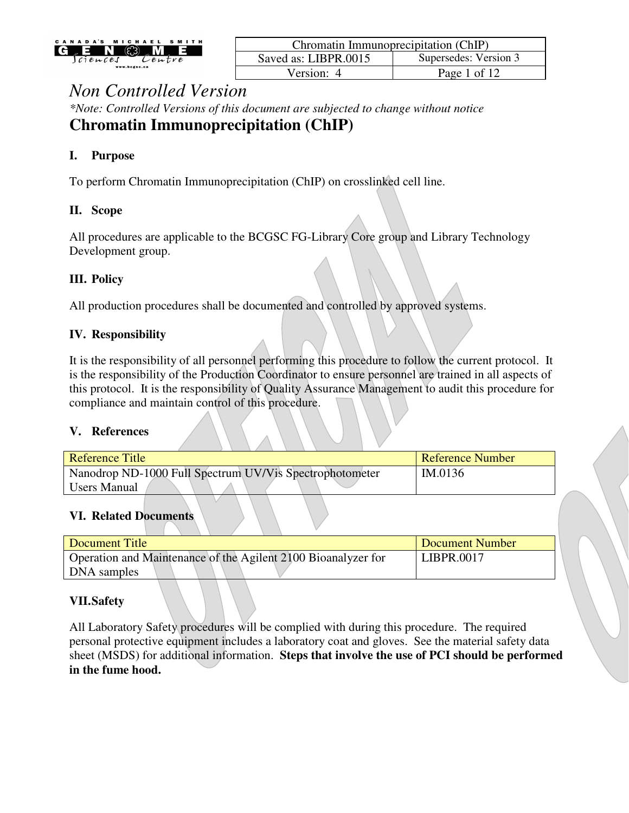

| Chromatin Immunoprecipitation (ChIP) |                       |  |
|--------------------------------------|-----------------------|--|
| Saved as: LIBPR.0015                 | Supersedes: Version 3 |  |
| Version: 4                           | Page 1 of 12          |  |

*\*Note: Controlled Versions of this document are subjected to change without notice* **Chromatin Immunoprecipitation (ChIP)** 

### **I. Purpose**

To perform Chromatin Immunoprecipitation (ChIP) on crosslinked cell line.

#### **II. Scope**

All procedures are applicable to the BCGSC FG-Library Core group and Library Technology Development group.

### **III. Policy**

All production procedures shall be documented and controlled by approved systems.

### **IV. Responsibility**

It is the responsibility of all personnel performing this procedure to follow the current protocol. It is the responsibility of the Production Coordinator to ensure personnel are trained in all aspects of this protocol. It is the responsibility of Quality Assurance Management to audit this procedure for compliance and maintain control of this procedure.

#### **V. References**

| Reference Title                                         | <b>Reference Number</b> |
|---------------------------------------------------------|-------------------------|
| Nanodrop ND-1000 Full Spectrum UV/Vis Spectrophotometer | IM.0136                 |
| <b>Users Manual</b>                                     |                         |
|                                                         |                         |

#### **VI. Related Documents**

| Document Title                                                | Document Number |
|---------------------------------------------------------------|-----------------|
| Operation and Maintenance of the Agilent 2100 Bioanalyzer for | LIBPR.0017      |
| DNA samples                                                   |                 |

### **VII.Safety**

All Laboratory Safety procedures will be complied with during this procedure. The required personal protective equipment includes a laboratory coat and gloves. See the material safety data sheet (MSDS) for additional information. **Steps that involve the use of PCI should be performed in the fume hood.**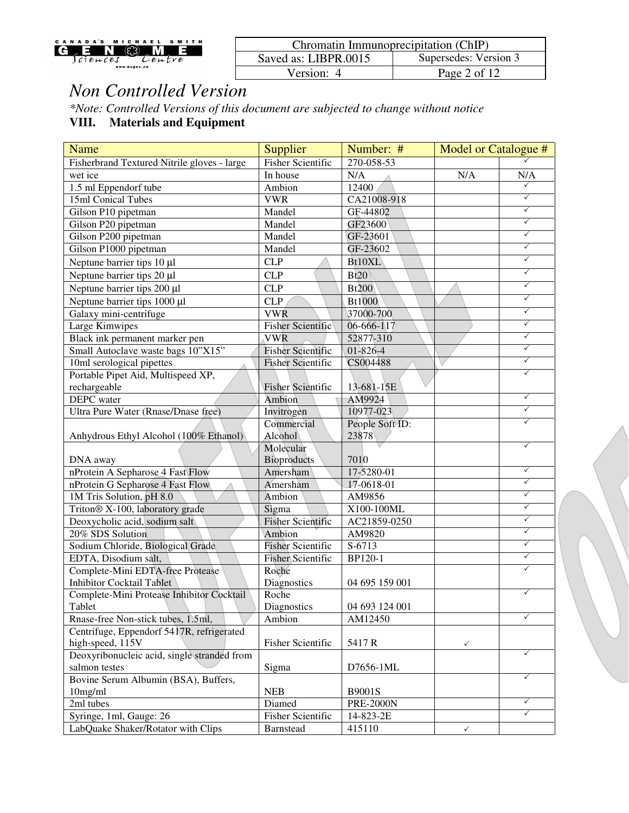| MICHAEL SMITH<br>CANADA'S<br>$\mathbb{C}$<br>$G_{e}E_N$ | Chromatin Immunoprecipitation (ChIP) |                                                         |
|---------------------------------------------------------|--------------------------------------|---------------------------------------------------------|
| lciences<br>Lentre                                      | Saved as: LIBPR.0015                 | Supersedes: Version 3                                   |
| www.bcgsc.ca                                            | √ersion:                             | $\angle$ of 1 <sup><math>\degree</math></sup><br>Page 2 |

*\*Note: Controlled Versions of this document are subjected to change without notice*

**VIII. Materials and Equipment** 

| <b>Name</b>                                 | Supplier                 | Number: #        | Model or Catalogue # |              |
|---------------------------------------------|--------------------------|------------------|----------------------|--------------|
| Fisherbrand Textured Nitrile gloves - large | <b>Fisher Scientific</b> | 270-058-53       |                      |              |
| wet ice                                     | In house                 | N/A              | N/A                  | N/A          |
| 1.5 ml Eppendorf tube                       | Ambion                   | 12400            |                      | $\checkmark$ |
| 15ml Conical Tubes                          | <b>VWR</b>               | CA21008-918      |                      | $\checkmark$ |
| Gilson P10 pipetman                         | Mandel                   | GF-44802         |                      | $\checkmark$ |
| Gilson P20 pipetman                         | Mandel                   | GF23600          |                      | $\checkmark$ |
| Gilson P200 pipetman                        | Mandel                   | GF-23601         |                      | $\checkmark$ |
| Gilson P1000 pipetman                       | Mandel                   | GF-23602         |                      | $\checkmark$ |
| Neptune barrier tips 10 µl                  | <b>CLP</b>               | Bt10XL           |                      | $\checkmark$ |
| Neptune barrier tips 20 µl                  | <b>CLP</b>               | Bt20             |                      | $\checkmark$ |
| Neptune barrier tips 200 µl                 | <b>CLP</b>               | <b>Bt200</b>     |                      | $\checkmark$ |
| Neptune barrier tips 1000 µl                | <b>CLP</b>               | <b>Bt1000</b>    |                      | $\checkmark$ |
| Galaxy mini-centrifuge                      | <b>VWR</b>               | 37000-700        |                      | $\checkmark$ |
| Large Kimwipes                              | <b>Fisher Scientific</b> | 06-666-117       |                      | $\checkmark$ |
| Black ink permanent marker pen              | <b>VWR</b>               | 52877-310        |                      | $\checkmark$ |
| Small Autoclave waste bags 10"X15"          | <b>Fisher Scientific</b> | $01 - 826 - 4$   |                      | $\checkmark$ |
| 10ml serological pipettes                   | <b>Fisher Scientific</b> | CS004488         |                      | $\checkmark$ |
| Portable Pipet Aid, Multispeed XP,          |                          |                  |                      | $\checkmark$ |
| rechargeable                                | <b>Fisher Scientific</b> | 13-681-15E       |                      |              |
| DEPC water                                  | Ambion                   | AM9924           |                      | $\checkmark$ |
| Ultra Pure Water (Rnase/Dnase free)         | Invitrogen               | 10977-023        |                      | ✓            |
|                                             | Commercial               | People Soft ID:  |                      | ✓            |
| Anhydrous Ethyl Alcohol (100% Ethanol)      | Alcohol                  | 23878            |                      |              |
|                                             | Molecular                |                  |                      | $\checkmark$ |
| DNA away                                    | <b>Bioproducts</b>       | 7010             |                      |              |
| nProtein A Sepharose 4 Fast Flow            | Amersham                 | 17-5280-01       |                      | $\checkmark$ |
| nProtein G Sepharose 4 Fast Flow            | Amersham                 | $17 - 0618 - 01$ |                      | $\checkmark$ |
| 1M Tris Solution, pH 8.0                    | Ambion                   | AM9856           |                      | $\checkmark$ |
| Triton® X-100, laboratory grade             | Sigma                    | X100-100ML       |                      | $\checkmark$ |
| Deoxycholic acid, sodium salt               | <b>Fisher Scientific</b> | AC21859-0250     |                      | $\checkmark$ |
| 20% SDS Solution                            | Ambion                   | AM9820           |                      | $\checkmark$ |
| Sodium Chloride, Biological Grade           | <b>Fisher Scientific</b> | S-6713           |                      | $\checkmark$ |
| EDTA, Disodium salt,                        | Fisher Scientific        | BP120-1          |                      | $\checkmark$ |
| Complete-Mini EDTA-free Protease            | Roche                    |                  |                      | $\checkmark$ |
| <b>Inhibitor Cocktail Tablet</b>            | Diagnostics              | 04 695 159 001   |                      |              |
| Complete-Mini Protease Inhibitor Cocktail   | Roche                    |                  |                      |              |
| Tablet                                      | Diagnostics              | 04 693 124 001   |                      |              |
| Rnase-free Non-stick tubes, 1.5ml,          | Ambion                   | AM12450          |                      | $\checkmark$ |
| Centrifuge, Eppendorf 5417R, refrigerated   |                          |                  |                      |              |
| high-speed, 115V                            | Fisher Scientific        | 5417 R           | $\checkmark$         |              |
| Deoxyribonucleic acid, single stranded from |                          |                  |                      | $\checkmark$ |
| salmon testes                               | Sigma                    | D7656-1ML        |                      |              |
| Bovine Serum Albumin (BSA), Buffers,        |                          |                  |                      | ✓            |
| 10mg/ml                                     | <b>NEB</b>               | B9001S           |                      |              |
| 2ml tubes                                   | Diamed                   | <b>PRE-2000N</b> |                      | $\checkmark$ |
| Syringe, 1ml, Gauge: 26                     | Fisher Scientific        | 14-823-2E        |                      | $\checkmark$ |
| LabQuake Shaker/Rotator with Clips          | Barnstead                | 415110           | $\checkmark$         |              |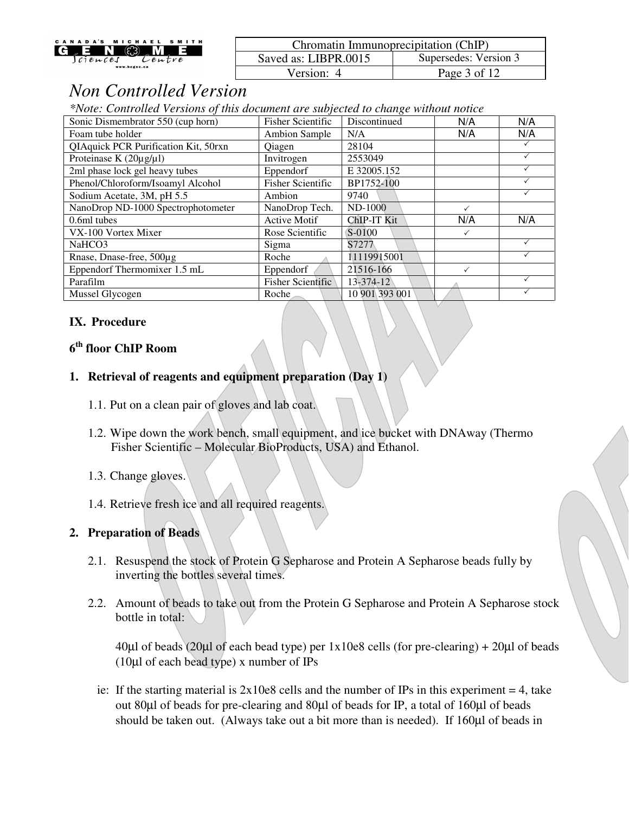| MICHAEL SMITH<br>CANADA'S<br><b>THE COLLECT</b><br>IG E | Chromatin Immunoprecipitation (ChIP) |                       |
|---------------------------------------------------------|--------------------------------------|-----------------------|
| $l$ ciences<br>Lentre                                   | Saved as: LIBPR.0015                 | Supersedes: Version 3 |
| www.bcgsc.ca                                            | ersion:/                             | 3 of $12$<br>Page .   |

*\*Note: Controlled Versions of this document are subjected to change without notice*

| Sonic Dismembrator 550 (cup horn)    | <b>Fisher Scientific</b> | Discontinued   | N/A          | N/A |
|--------------------------------------|--------------------------|----------------|--------------|-----|
| Foam tube holder                     | <b>Ambion Sample</b>     | N/A            | N/A          | N/A |
| QIAquick PCR Purification Kit, 50rxn | Qiagen                   | 28104          |              |     |
| Proteinase K $(20\mu g/\mu l)$       | Invitrogen               | 2553049        |              |     |
| 2ml phase lock gel heavy tubes       | Eppendorf                | E 32005.152    |              |     |
| Phenol/Chloroform/Isoamyl Alcohol    | <b>Fisher Scientific</b> | BP1752-100     |              |     |
| Sodium Acetate, 3M, pH 5.5           | Ambion                   | 9740           |              |     |
| NanoDrop ND-1000 Spectrophotometer   | NanoDrop Tech.           | ND-1000        |              |     |
| 0.6ml tubes                          | <b>Active Motif</b>      | ChIP-IT Kit    | N/A          | N/A |
| VX-100 Vortex Mixer                  | Rose Scientific          | S-0100         | $\checkmark$ |     |
| NaHCO3                               | Sigma                    | S7277          |              |     |
| Rnase, Dnase-free, 500µg             | Roche                    | 11119915001    |              |     |
| Eppendorf Thermomixer 1.5 mL         | Eppendorf                | 21516-166      | ✓            |     |
| Parafilm                             | <b>Fisher Scientific</b> | 13-374-12      |              |     |
| Mussel Glycogen                      | Roche                    | 10 901 393 001 |              |     |

#### **IX. Procedure**

### **6 th floor ChIP Room**

#### **1. Retrieval of reagents and equipment preparation (Day 1)**

- 1.1. Put on a clean pair of gloves and lab coat.
- 1.2. Wipe down the work bench, small equipment, and ice bucket with DNAway (Thermo Fisher Scientific – Molecular BioProducts, USA) and Ethanol.
- 1.3. Change gloves.
- 1.4. Retrieve fresh ice and all required reagents.

#### **2. Preparation of Beads**

- 2.1. Resuspend the stock of Protein G Sepharose and Protein A Sepharose beads fully by inverting the bottles several times.
- 2.2. Amount of beads to take out from the Protein G Sepharose and Protein A Sepharose stock bottle in total:

 $40\mu$ l of beads (20 $\mu$ l of each bead type) per 1x10e8 cells (for pre-clearing) + 20 $\mu$ l of beads (10µl of each bead type) x number of IPs

ie: If the starting material is  $2x10e8$  cells and the number of IPs in this experiment = 4, take out 80µl of beads for pre-clearing and 80µl of beads for IP, a total of 160µl of beads should be taken out. (Always take out a bit more than is needed). If 160µl of beads in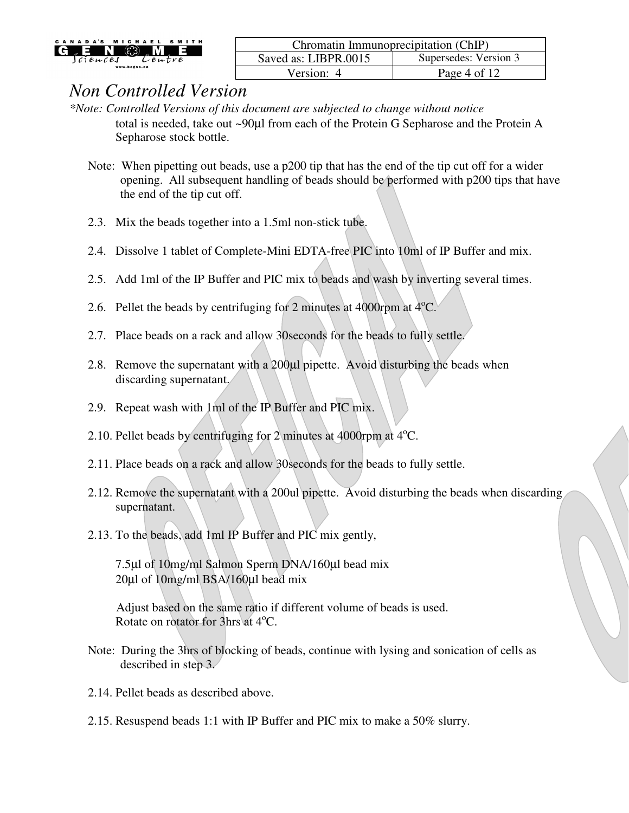

| Chromatin Immunoprecipitation (ChIP) |                       |  |
|--------------------------------------|-----------------------|--|
| Saved as: LIBPR.0015                 | Supersedes: Version 3 |  |
| Version: 4                           | Page 4 of 12          |  |

- *\*Note: Controlled Versions of this document are subjected to change without notice* total is needed, take out ~90µl from each of the Protein G Sepharose and the Protein A Sepharose stock bottle.
	- Note: When pipetting out beads, use a p200 tip that has the end of the tip cut off for a wider opening. All subsequent handling of beads should be performed with p200 tips that have the end of the tip cut off.
	- 2.3. Mix the beads together into a 1.5ml non-stick tube.
	- 2.4. Dissolve 1 tablet of Complete-Mini EDTA-free PIC into 10ml of IP Buffer and mix.
	- 2.5. Add 1ml of the IP Buffer and PIC mix to beads and wash by inverting several times.
	- 2.6. Pellet the beads by centrifuging for 2 minutes at 4000rpm at  $4^{\circ}$ C.
	- 2.7. Place beads on a rack and allow 30seconds for the beads to fully settle.
	- 2.8. Remove the supernatant with a 200 $\mu$ l pipette. Avoid disturbing the beads when discarding supernatant.
	- 2.9. Repeat wash with 1ml of the IP Buffer and PIC mix.
	- 2.10. Pellet beads by centrifuging for 2 minutes at 4000rpm at  $4^{\circ}$ C.
	- 2.11. Place beads on a rack and allow 30seconds for the beads to fully settle.
	- 2.12. Remove the supernatant with a 200ul pipette. Avoid disturbing the beads when discarding supernatant.
	- 2.13. To the beads, add 1ml IP Buffer and PIC mix gently,

7.5µl of 10mg/ml Salmon Sperm DNA/160µl bead mix 20µl of 10mg/ml BSA/160µl bead mix

 Adjust based on the same ratio if different volume of beads is used. Rotate on rotator for 3hrs at 4°C.

- Note: During the 3hrs of blocking of beads, continue with lysing and sonication of cells as described in step 3.
- 2.14. Pellet beads as described above.
- 2.15. Resuspend beads 1:1 with IP Buffer and PIC mix to make a 50% slurry.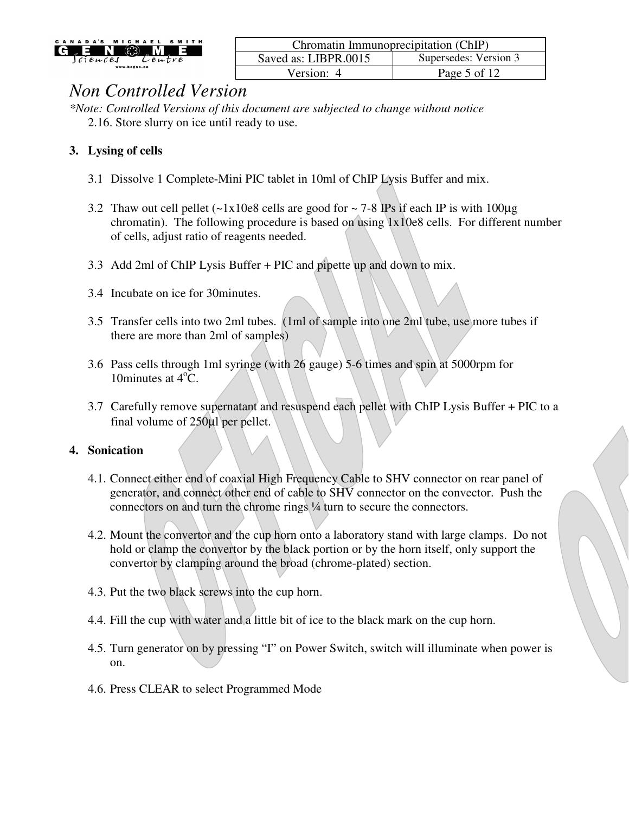

| Chromatin Immunoprecipitation (ChIP) |                       |  |
|--------------------------------------|-----------------------|--|
| Saved as: LIBPR.0015                 | Supersedes: Version 3 |  |
| Version: 4                           | Page 5 of 12          |  |

*\*Note: Controlled Versions of this document are subjected to change without notice* 2.16. Store slurry on ice until ready to use.

### **3. Lysing of cells**

- 3.1 Dissolve 1 Complete-Mini PIC tablet in 10ml of ChIP Lysis Buffer and mix.
- 3.2 Thaw out cell pellet  $(-1x10e8$  cells are good for  $\sim$  7-8 IPs if each IP is with 100µg chromatin). The following procedure is based on using  $1x10e8$  cells. For different number of cells, adjust ratio of reagents needed.
- 3.3 Add 2ml of ChIP Lysis Buffer + PIC and pipette up and down to mix.
- 3.4 Incubate on ice for 30minutes.
- 3.5 Transfer cells into two 2ml tubes. (1ml of sample into one 2ml tube, use more tubes if there are more than 2ml of samples)
- 3.6 Pass cells through 1ml syringe (with 26 gauge) 5-6 times and spin at 5000rpm for 10minutes at  $4^{\circ}$ C.
- 3.7 Carefully remove supernatant and resuspend each pellet with ChIP Lysis Buffer + PIC to a final volume of 250µl per pellet.

#### **4. Sonication**

- 4.1. Connect either end of coaxial High Frequency Cable to SHV connector on rear panel of generator, and connect other end of cable to SHV connector on the convector. Push the connectors on and turn the chrome rings ¼ turn to secure the connectors.
- 4.2. Mount the convertor and the cup horn onto a laboratory stand with large clamps. Do not hold or clamp the convertor by the black portion or by the horn itself, only support the convertor by clamping around the broad (chrome-plated) section.
- 4.3. Put the two black screws into the cup horn.
- 4.4. Fill the cup with water and a little bit of ice to the black mark on the cup horn.
- 4.5. Turn generator on by pressing "I" on Power Switch, switch will illuminate when power is on.
- 4.6. Press CLEAR to select Programmed Mode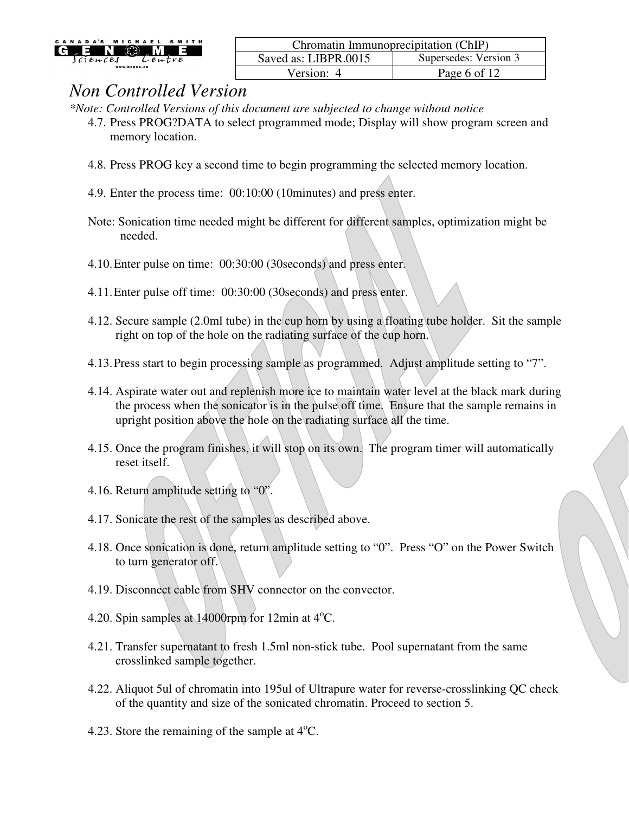| CANADA'S          |              | MICHAELS  | <b>MITH</b> |
|-------------------|--------------|-----------|-------------|
|                   | 12 R         |           |             |
| $c$ $i$ en $c$ es |              | $2$ entre |             |
|                   | www.bcgsc.ca |           |             |

| Chromatin Immunoprecipitation (ChIP) |                       |  |
|--------------------------------------|-----------------------|--|
| Saved as: LIBPR.0015                 | Supersedes: Version 3 |  |
| Version: 4                           | Page 6 of 12          |  |

*\*Note: Controlled Versions of this document are subjected to change without notice*

- 4.7. Press PROG?DATA to select programmed mode; Display will show program screen and memory location.
- 4.8. Press PROG key a second time to begin programming the selected memory location.
- 4.9. Enter the process time: 00:10:00 (10minutes) and press enter.
- Note: Sonication time needed might be different for different samples, optimization might be needed.
- 4.10.Enter pulse on time: 00:30:00 (30seconds) and press enter.
- 4.11.Enter pulse off time: 00:30:00 (30seconds) and press enter.
- 4.12. Secure sample (2.0ml tube) in the cup horn by using a floating tube holder. Sit the sample right on top of the hole on the radiating surface of the cup horn.
- 4.13.Press start to begin processing sample as programmed. Adjust amplitude setting to "7".
- 4.14. Aspirate water out and replenish more ice to maintain water level at the black mark during the process when the sonicator is in the pulse off time. Ensure that the sample remains in upright position above the hole on the radiating surface all the time.
- 4.15. Once the program finishes, it will stop on its own. The program timer will automatically reset itself.
- 4.16. Return amplitude setting to "0".
- 4.17. Sonicate the rest of the samples as described above.
- 4.18. Once sonication is done, return amplitude setting to "0". Press "O" on the Power Switch to turn generator off.
- 4.19. Disconnect cable from SHV connector on the convector.
- 4.20. Spin samples at  $14000$ rpm for  $12$ min at  $4^{\circ}$ C.
- 4.21. Transfer supernatant to fresh 1.5ml non-stick tube. Pool supernatant from the same crosslinked sample together.
- 4.22. Aliquot 5ul of chromatin into 195ul of Ultrapure water for reverse-crosslinking QC check of the quantity and size of the sonicated chromatin. Proceed to section 5.
- 4.23. Store the remaining of the sample at  $4^{\circ}C$ .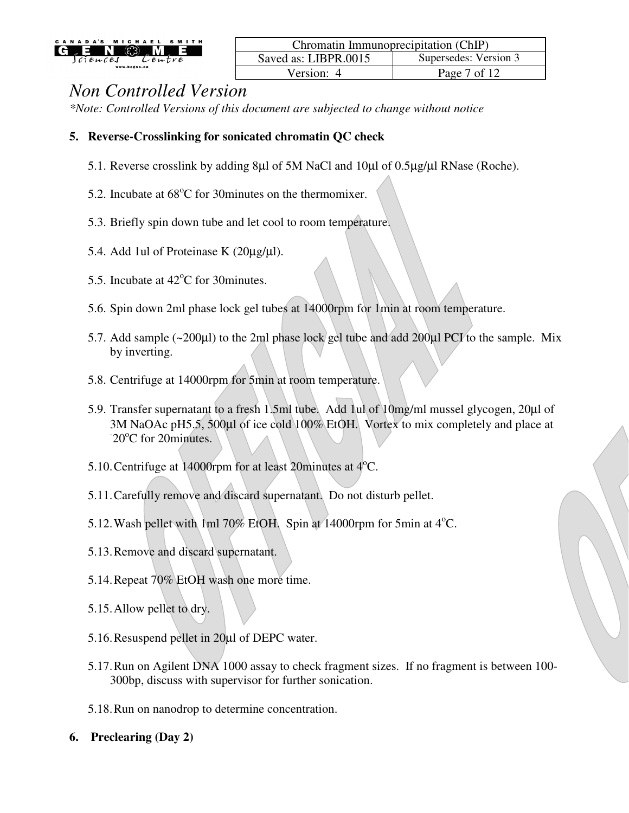

| Chromatin Immunoprecipitation (ChIP) |                       |  |
|--------------------------------------|-----------------------|--|
| Saved as: LIBPR.0015                 | Supersedes: Version 3 |  |
| Version: 4                           | Page 7 of 12          |  |

*\*Note: Controlled Versions of this document are subjected to change without notice*

#### **5. Reverse-Crosslinking for sonicated chromatin QC check**

- 5.1. Reverse crosslink by adding 8µl of 5M NaCl and 10µl of 0.5µg/µl RNase (Roche).
- 5.2. Incubate at  $68^{\circ}$ C for 30 minutes on the thermomixer.
- 5.3. Briefly spin down tube and let cool to room temperature.
- 5.4. Add 1ul of Proteinase K (20µg/µl).
- 5.5. Incubate at  $42^{\circ}$ C for 30 minutes.
- 5.6. Spin down 2ml phase lock gel tubes at 14000rpm for 1min at room temperature.
- 5.7. Add sample (~200µl) to the 2ml phase lock gel tube and add 200µl PCI to the sample. Mix by inverting.
- 5.8. Centrifuge at 14000rpm for 5min at room temperature.
- 5.9. Transfer supernatant to a fresh 1.5ml tube. Add 1ul of 10mg/ml mussel glycogen, 20µl of 3M NaOAc pH5.5, 500µl of ice cold 100% EtOH. Vortex to mix completely and place at 20°C for 20 minutes.
- 5.10. Centrifuge at 14000 rpm for at least 20 minutes at  $4^{\circ}$ C.
- 5.11.Carefully remove and discard supernatant. Do not disturb pellet.
- 5.12. Wash pellet with 1ml 70% EtOH. Spin at 14000rpm for 5min at  $4^{\circ}$ C.
- 5.13.Remove and discard supernatant.
- 5.14.Repeat 70% EtOH wash one more time.
- 5.15.Allow pellet to dry.
- 5.16.Resuspend pellet in 20µl of DEPC water.
- 5.17.Run on Agilent DNA 1000 assay to check fragment sizes. If no fragment is between 100- 300bp, discuss with supervisor for further sonication.
- 5.18.Run on nanodrop to determine concentration.
- **6. Preclearing (Day 2)**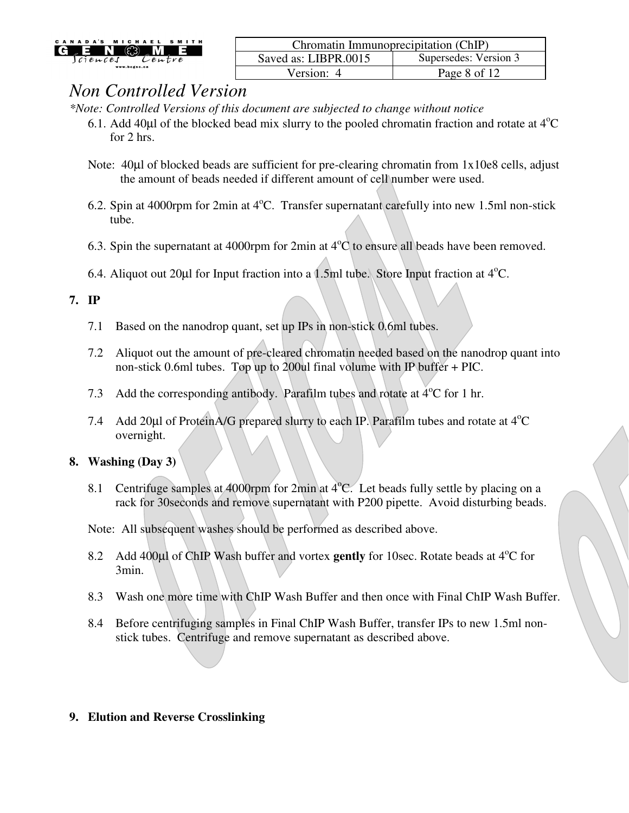

| Chromatin Immunoprecipitation (ChIP) |                       |  |
|--------------------------------------|-----------------------|--|
| Saved as: LIBPR.0015                 | Supersedes: Version 3 |  |
| Version: 4                           | Page 8 of 12          |  |

*\*Note: Controlled Versions of this document are subjected to change without notice*

- 6.1. Add 40 $\mu$ l of the blocked bead mix slurry to the pooled chromatin fraction and rotate at  $4^{\circ}$ C for 2 hrs.
- Note: 40µ of blocked beads are sufficient for pre-clearing chromatin from 1x10e8 cells, adjust the amount of beads needed if different amount of cell number were used.
- 6.2. Spin at 4000rpm for 2min at  $4^{\circ}$ C. Transfer supernatant carefully into new 1.5ml non-stick tube.
- 6.3. Spin the supernatant at 4000rpm for 2min at  $4^{\circ}C$  to ensure all beads have been removed.
- 6.4. Aliquot out 20 $\mu$ l for Input fraction into a 1.5ml tube. Store Input fraction at 4<sup>o</sup>C.

#### **7. IP**

- 7.1 Based on the nanodrop quant, set up IPs in non-stick 0.6ml tubes.
- 7.2 Aliquot out the amount of pre-cleared chromatin needed based on the nanodrop quant into non-stick 0.6ml tubes. Top up to 200ul final volume with IP buffer + PIC.
- 7.3 Add the corresponding antibody. Parafilm tubes and rotate at  $4^{\circ}$ C for 1 hr.
- 7.4 Add 20 $\mu$ l of ProteinA/G prepared slurry to each IP. Parafilm tubes and rotate at  $4^{\circ}$ C overnight.

### **8. Washing (Day 3)**

8.1 Centrifuge samples at 4000rpm for 2min at  $4^{\circ}$ C. Let beads fully settle by placing on a rack for 30seconds and remove supernatant with P200 pipette. Avoid disturbing beads.

Note: All subsequent washes should be performed as described above.

- 8.2 Add 400µl of ChIP Wash buffer and vortex gently for 10sec. Rotate beads at 4<sup>o</sup>C for 3min.
- 8.3 Wash one more time with ChIP Wash Buffer and then once with Final ChIP Wash Buffer.
- 8.4 Before centrifuging samples in Final ChIP Wash Buffer, transfer IPs to new 1.5ml nonstick tubes. Centrifuge and remove supernatant as described above.

### **9. Elution and Reverse Crosslinking**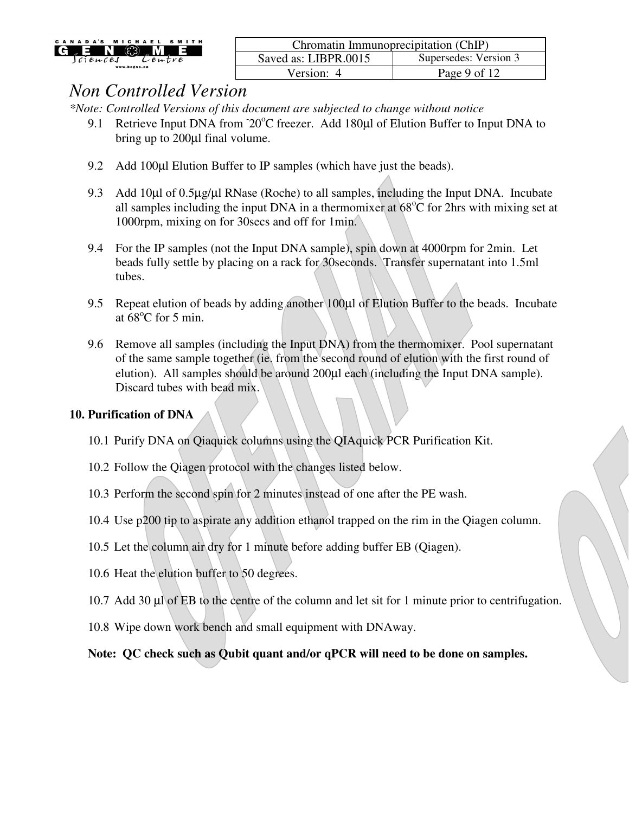| CANADA'S MICHAEL SMITH<br><u>ිදල</u><br>G E N<br>$_{\circ}$ M<br>lciences<br>Lentre | Chromatin Immunoprecipitation (ChIP) |                       |
|-------------------------------------------------------------------------------------|--------------------------------------|-----------------------|
|                                                                                     | Saved as: LIBPR.0015                 | Supersedes: Version 3 |
| www.bcgsc.ca                                                                        | Version:                             | Page 9 of 12          |

*\*Note: Controlled Versions of this document are subjected to change without notice*

- 9.1 Retrieve Input DNA from  $20^{\circ}$ C freezer. Add 180 $\mu$ l of Elution Buffer to Input DNA to bring up to 200µl final volume.
- 9.2 Add 100µl Elution Buffer to IP samples (which have just the beads).
- 9.3 Add 10µl of 0.5µg/µl RNase (Roche) to all samples, including the Input DNA. Incubate all samples including the input DNA in a thermomixer at  $68^{\circ}$ C for 2hrs with mixing set at 1000rpm, mixing on for 30secs and off for 1min.
- 9.4 For the IP samples (not the Input DNA sample), spin down at 4000rpm for 2min. Let beads fully settle by placing on a rack for 30seconds. Transfer supernatant into 1.5ml tubes.
- 9.5 Repeat elution of beads by adding another 100µl of Elution Buffer to the beads. Incubate at  $68^{\circ}$ C for 5 min.
- 9.6 Remove all samples (including the Input DNA) from the thermomixer. Pool supernatant of the same sample together (ie. from the second round of elution with the first round of elution). All samples should be around 200µl each (including the Input DNA sample). Discard tubes with bead mix.

#### **10. Purification of DNA**

- 10.1 Purify DNA on Qiaquick columns using the QIAquick PCR Purification Kit.
- 10.2 Follow the Qiagen protocol with the changes listed below.
- 10.3 Perform the second spin for 2 minutes instead of one after the PE wash.
- 10.4 Use p200 tip to aspirate any addition ethanol trapped on the rim in the Qiagen column.
- 10.5 Let the column air dry for 1 minute before adding buffer EB (Qiagen).
- 10.6 Heat the elution buffer to 50 degrees.
- 10.7 Add 30 µl of EB to the centre of the column and let sit for 1 minute prior to centrifugation.
- 10.8 Wipe down work bench and small equipment with DNAway.

**Note: QC check such as Qubit quant and/or qPCR will need to be done on samples.**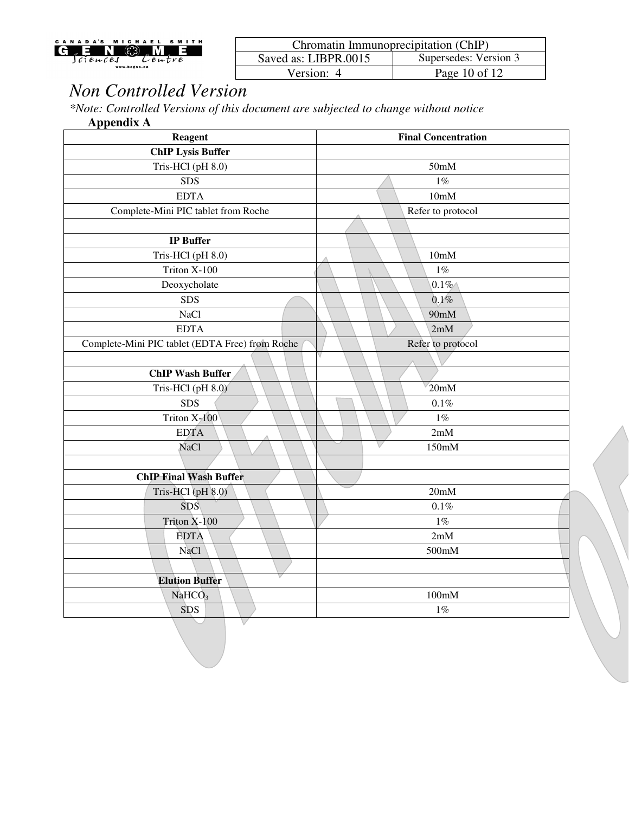| ADA'S<br>N<br>A<br>c.         | M I         | CHAEL<br><b>S-</b> | <b>ITH</b><br>м |
|-------------------------------|-------------|--------------------|-----------------|
|                               | <b>STEP</b> |                    |                 |
| $c$ $i$ $e$ $\mu$ $c$ $e$ $s$ |             | $v$ entre          |                 |
| www.bcgsc.ca                  |             |                    |                 |

| Chromatin Immunoprecipitation (ChIP) |                       |  |
|--------------------------------------|-----------------------|--|
| Saved as: LIBPR.0015                 | Supersedes: Version 3 |  |
| Version: 4                           | Page 10 of 12         |  |

*\*Note: Controlled Versions of this document are subjected to change without notice* **Appendix A** 

| <b>Reagent</b>                                  | <b>Final Concentration</b> |  |
|-------------------------------------------------|----------------------------|--|
| <b>ChIP Lysis Buffer</b>                        |                            |  |
| Tris-HCl (pH 8.0)                               | 50 <sub>m</sub> M          |  |
| <b>SDS</b>                                      | $1\%$                      |  |
| <b>EDTA</b>                                     | 10mM                       |  |
| Complete-Mini PIC tablet from Roche             | Refer to protocol          |  |
|                                                 |                            |  |
| <b>IP</b> Buffer                                |                            |  |
| Tris-HCl (pH 8.0)                               | 10mM                       |  |
| Triton X-100                                    | $1\%$                      |  |
| Deoxycholate                                    | $0.1\%$                    |  |
| <b>SDS</b>                                      | 0.1%                       |  |
| <b>NaCl</b>                                     | 90 <sub>m</sub> M          |  |
| <b>EDTA</b>                                     | 2mM                        |  |
| Complete-Mini PIC tablet (EDTA Free) from Roche | Refer to protocol          |  |
|                                                 |                            |  |
| <b>ChIP Wash Buffer</b>                         |                            |  |
| Tris-HCl (pH 8.0)                               | 20mM                       |  |
| <b>SDS</b>                                      | 0.1%                       |  |
| Triton X-100                                    | 1%                         |  |
| <b>EDTA</b>                                     | 2mM                        |  |
| <b>NaCl</b>                                     | 150mM                      |  |
|                                                 |                            |  |
| <b>ChIP Final Wash Buffer</b>                   |                            |  |
| Tris-HCl (pH 8.0)                               | 20mM                       |  |
| <b>SDS</b>                                      | 0.1%                       |  |
| Triton X-100                                    | $1\%$                      |  |
| <b>EDTA</b>                                     | 2mM                        |  |
| NaCl                                            | 500mM                      |  |
|                                                 |                            |  |
| <b>Elution Buffer</b>                           |                            |  |
| NaHCO <sub>3</sub>                              | 100mM                      |  |
| SDS                                             | 1%                         |  |